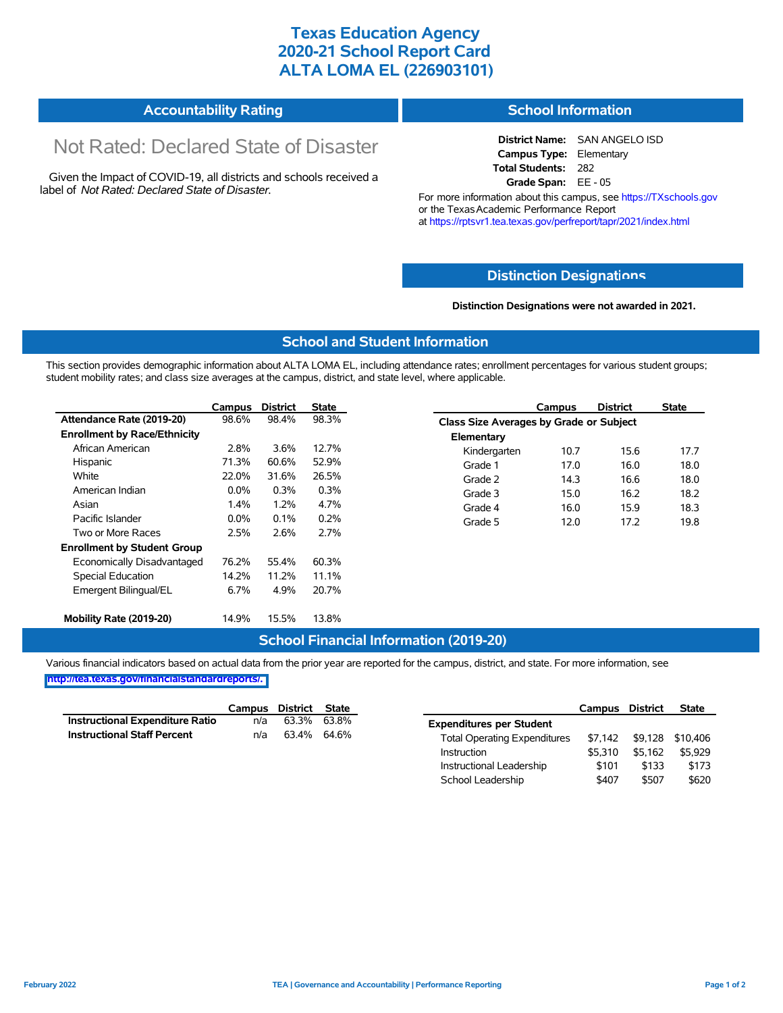## **Texas Education Agency 2020-21 School Report Card ALTA LOMA EL (226903101)**

#### **Accountability Rating School Information**

# Not Rated: Declared State of Disaster

Given the Impact of COVID-19, all districts and schools received a label of *Not Rated: Declared State of Disaster.*

**District Name:** SAN ANGELO ISD **Campus Type:** Elementary **Total Students:** 282 **Grade Span:** EE - 05

For more information about this campus, see https://TXschools.gov or the Texas Academic Performance Report at https://rptsvr1.tea.texas.gov/perfreport/tapr/2021/index.html

### **Distinction Designat[ions](https://TXschools.gov)**

**Distinction Designations were not awarded in 2021.**

School Leadership  $$407$  \$507 \$620

#### **School and Student Information**

This section provides demographic information about ALTA LOMA EL, including attendance rates; enrollment percentages for various student groups; student mobility rates; and class size averages at the campus, district, and state level, where applicable.

|                                     | Campus  | <b>District</b> | <b>State</b> |              | Campus                                  | <b>District</b> | <b>State</b> |  |  |  |
|-------------------------------------|---------|-----------------|--------------|--------------|-----------------------------------------|-----------------|--------------|--|--|--|
| Attendance Rate (2019-20)           | 98.6%   | 98.4%           | 98.3%        |              | Class Size Averages by Grade or Subject |                 |              |  |  |  |
| <b>Enrollment by Race/Ethnicity</b> |         |                 |              | Elementary   |                                         |                 |              |  |  |  |
| African American                    | 2.8%    | 3.6%            | 12.7%        | Kindergarten | 10.7                                    | 15.6            | 17.7         |  |  |  |
| Hispanic                            | 71.3%   | 60.6%           | 52.9%        | Grade 1      | 17.0                                    | 16.0            | 18.0         |  |  |  |
| White                               | 22.0%   | 31.6%           | 26.5%        | Grade 2      | 14.3                                    | 16.6            | 18.0         |  |  |  |
| American Indian                     | $0.0\%$ | 0.3%            | 0.3%         | Grade 3      | 15.0                                    | 16.2            | 18.2         |  |  |  |
| Asian                               | 1.4%    | 1.2%            | 4.7%         | Grade 4      | 16.0                                    | 15.9            | 18.3         |  |  |  |
| Pacific Islander                    | $0.0\%$ | 0.1%            | 0.2%         | Grade 5      | 12.0                                    | 17.2            | 19.8         |  |  |  |
| Two or More Races                   | 2.5%    | 2.6%            | 2.7%         |              |                                         |                 |              |  |  |  |
| <b>Enrollment by Student Group</b>  |         |                 |              |              |                                         |                 |              |  |  |  |
| Economically Disadvantaged          | 76.2%   | 55.4%           | 60.3%        |              |                                         |                 |              |  |  |  |
| Special Education                   | 14.2%   | 11.2%           | 11.1%        |              |                                         |                 |              |  |  |  |
| Emergent Bilingual/EL               | 6.7%    | 4.9%            | 20.7%        |              |                                         |                 |              |  |  |  |
|                                     |         |                 |              |              |                                         |                 |              |  |  |  |
| Mobility Rate (2019-20)             | 14.9%   | 15.5%           | 13.8%        |              |                                         |                 |              |  |  |  |

#### **School Financial Information (2019-20)**

Various financial indicators based on actual data from the prior year are reported for the campus, district, and state. For more information, see

**[http://tea.texas.gov/financialstandardreports/.](http://tea.texas.gov/financialstandardreports/)**

|                                        | Campus | District    | State |                                     | Campus  | <b>District</b>          | <b>State</b> |
|----------------------------------------|--------|-------------|-------|-------------------------------------|---------|--------------------------|--------------|
| <b>Instructional Expenditure Ratio</b> | n/a    | 63.3%       | 63.8% | <b>Expenditures per Student</b>     |         |                          |              |
| <b>Instructional Staff Percent</b>     | n/a    | 63.4% 64.6% |       | <b>Total Operating Expenditures</b> |         | \$7,142 \$9,128 \$10,406 |              |
|                                        |        |             |       | Instruction                         | \$5.310 | \$5.162                  | \$5.929      |
|                                        |        |             |       | Instructional Leadership            | \$101   | \$133                    | \$173        |